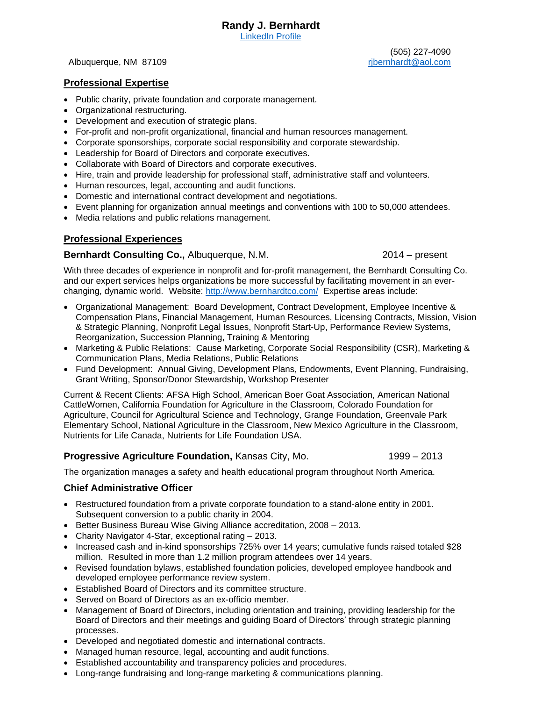[LinkedIn Profile](https://www.linkedin.com/in/randy-bernhardt-4a92a8a?trk=nav_responsive_tab_profile)

Albuquerque, NM 87109

(505) 227-4090 [rjbernhardt@aol.com](mailto:rjbernhardt@aol.com)

# **Professional Expertise**

- Public charity, private foundation and corporate management.
- Organizational restructuring.
- Development and execution of strategic plans.
- For-profit and non-profit organizational, financial and human resources management.
- Corporate sponsorships, corporate social responsibility and corporate stewardship.
- Leadership for Board of Directors and corporate executives.
- Collaborate with Board of Directors and corporate executives.
- Hire, train and provide leadership for professional staff, administrative staff and volunteers.
- Human resources, legal, accounting and audit functions.
- Domestic and international contract development and negotiations.
- Event planning for organization annual meetings and conventions with 100 to 50,000 attendees.
- Media relations and public relations management.

### **Professional Experiences**

#### **Bernhardt Consulting Co., Albuquerque, N.M.** 2014 – present

With three decades of experience in nonprofit and for-profit management, the Bernhardt Consulting Co. and our expert services helps organizations be more successful by facilitating movement in an everchanging, dynamic world. Website:<http://www.bernhardtco.com/> Expertise areas include:

- Organizational Management: Board Development, Contract Development, Employee Incentive & Compensation Plans, Financial Management, Human Resources, Licensing Contracts, Mission, Vision & Strategic Planning, Nonprofit Legal Issues, Nonprofit Start-Up, Performance Review Systems, Reorganization, Succession Planning, Training & Mentoring
- Marketing & Public Relations: Cause Marketing, Corporate Social Responsibility (CSR), Marketing & Communication Plans, Media Relations, Public Relations
- Fund Development: Annual Giving, Development Plans, Endowments, Event Planning, Fundraising, Grant Writing, Sponsor/Donor Stewardship, Workshop Presenter

Current & Recent Clients: AFSA High School, American Boer Goat Association, American National CattleWomen, California Foundation for Agriculture in the Classroom, Colorado Foundation for Agriculture, Council for Agricultural Science and Technology, Grange Foundation, Greenvale Park Elementary School, National Agriculture in the Classroom, New Mexico Agriculture in the Classroom, Nutrients for Life Canada, Nutrients for Life Foundation USA.

### **Progressive Agriculture Foundation, Kansas City, Mo.** 1999 – 2013

The organization manages a safety and health educational program throughout North America.

### **Chief Administrative Officer**

- Restructured foundation from a private corporate foundation to a stand-alone entity in 2001. Subsequent conversion to a public charity in 2004.
- Better Business Bureau Wise Giving Alliance accreditation, 2008 2013.
- Charity Navigator 4-Star, exceptional rating 2013.
- Increased cash and in-kind sponsorships 725% over 14 years; cumulative funds raised totaled \$28 million. Resulted in more than 1.2 million program attendees over 14 years.
- Revised foundation bylaws, established foundation policies, developed employee handbook and developed employee performance review system.
- Established Board of Directors and its committee structure.
- Served on Board of Directors as an ex-officio member.
- Management of Board of Directors, including orientation and training, providing leadership for the Board of Directors and their meetings and guiding Board of Directors' through strategic planning processes.
- Developed and negotiated domestic and international contracts.
- Managed human resource, legal, accounting and audit functions.
- Established accountability and transparency policies and procedures.
- Long-range fundraising and long-range marketing & communications planning.